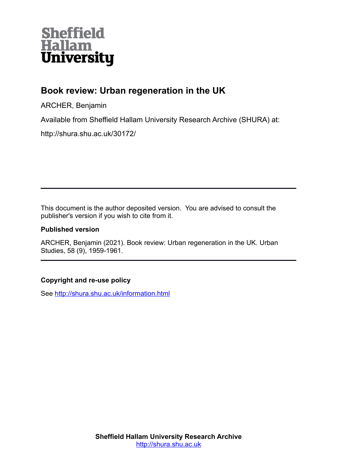

## **Book review: Urban regeneration in the UK**

ARCHER, Benjamin

Available from Sheffield Hallam University Research Archive (SHURA) at:

http://shura.shu.ac.uk/30172/

This document is the author deposited version. You are advised to consult the publisher's version if you wish to cite from it.

## **Published version**

ARCHER, Benjamin (2021). Book review: Urban regeneration in the UK. Urban Studies, 58 (9), 1959-1961.

## **Copyright and re-use policy**

See<http://shura.shu.ac.uk/information.html>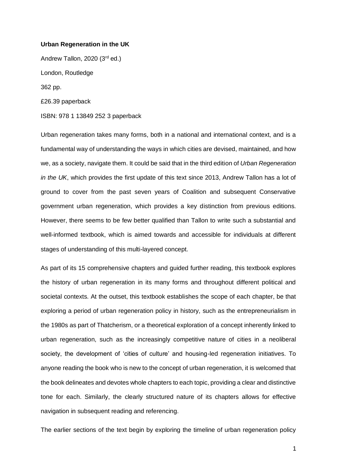## **Urban Regeneration in the UK**

Andrew Tallon, 2020 (3rd ed.) London, Routledge 362 pp. £26.39 paperback ISBN: 978 1 13849 252 3 paperback

Urban regeneration takes many forms, both in a national and international context, and is a fundamental way of understanding the ways in which cities are devised, maintained, and how we, as a society, navigate them. It could be said that in the third edition of *Urban Regeneration in the UK*, which provides the first update of this text since 2013, Andrew Tallon has a lot of ground to cover from the past seven years of Coalition and subsequent Conservative government urban regeneration, which provides a key distinction from previous editions. However, there seems to be few better qualified than Tallon to write such a substantial and well-informed textbook, which is aimed towards and accessible for individuals at different stages of understanding of this multi-layered concept.

As part of its 15 comprehensive chapters and guided further reading, this textbook explores the history of urban regeneration in its many forms and throughout different political and societal contexts. At the outset, this textbook establishes the scope of each chapter, be that exploring a period of urban regeneration policy in history, such as the entrepreneurialism in the 1980s as part of Thatcherism, or a theoretical exploration of a concept inherently linked to urban regeneration, such as the increasingly competitive nature of cities in a neoliberal society, the development of 'cities of culture' and housing-led regeneration initiatives. To anyone reading the book who is new to the concept of urban regeneration, it is welcomed that the book delineates and devotes whole chapters to each topic, providing a clear and distinctive tone for each. Similarly, the clearly structured nature of its chapters allows for effective navigation in subsequent reading and referencing.

The earlier sections of the text begin by exploring the timeline of urban regeneration policy

1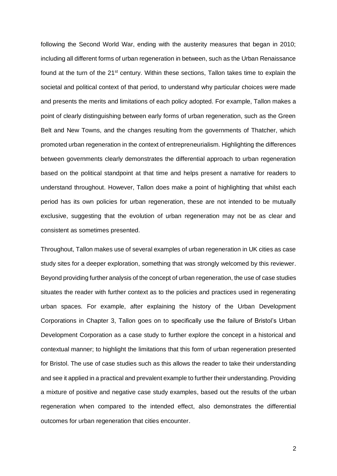following the Second World War, ending with the austerity measures that began in 2010; including all different forms of urban regeneration in between, such as the Urban Renaissance found at the turn of the 21<sup>st</sup> century. Within these sections, Tallon takes time to explain the societal and political context of that period, to understand why particular choices were made and presents the merits and limitations of each policy adopted. For example, Tallon makes a point of clearly distinguishing between early forms of urban regeneration, such as the Green Belt and New Towns, and the changes resulting from the governments of Thatcher, which promoted urban regeneration in the context of entrepreneurialism. Highlighting the differences between governments clearly demonstrates the differential approach to urban regeneration based on the political standpoint at that time and helps present a narrative for readers to understand throughout. However, Tallon does make a point of highlighting that whilst each period has its own policies for urban regeneration, these are not intended to be mutually exclusive, suggesting that the evolution of urban regeneration may not be as clear and consistent as sometimes presented.

Throughout, Tallon makes use of several examples of urban regeneration in UK cities as case study sites for a deeper exploration, something that was strongly welcomed by this reviewer. Beyond providing further analysis of the concept of urban regeneration, the use of case studies situates the reader with further context as to the policies and practices used in regenerating urban spaces. For example, after explaining the history of the Urban Development Corporations in Chapter 3, Tallon goes on to specifically use the failure of Bristol's Urban Development Corporation as a case study to further explore the concept in a historical and contextual manner; to highlight the limitations that this form of urban regeneration presented for Bristol. The use of case studies such as this allows the reader to take their understanding and see it applied in a practical and prevalent example to further their understanding. Providing a mixture of positive and negative case study examples, based out the results of the urban regeneration when compared to the intended effect, also demonstrates the differential outcomes for urban regeneration that cities encounter.

2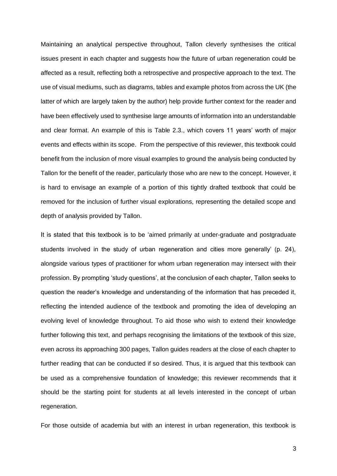Maintaining an analytical perspective throughout, Tallon cleverly synthesises the critical issues present in each chapter and suggests how the future of urban regeneration could be affected as a result, reflecting both a retrospective and prospective approach to the text. The use of visual mediums, such as diagrams, tables and example photos from across the UK (the latter of which are largely taken by the author) help provide further context for the reader and have been effectively used to synthesise large amounts of information into an understandable and clear format. An example of this is Table 2.3., which covers 11 years' worth of major events and effects within its scope. From the perspective of this reviewer, this textbook could benefit from the inclusion of more visual examples to ground the analysis being conducted by Tallon for the benefit of the reader, particularly those who are new to the concept. However, it is hard to envisage an example of a portion of this tightly drafted textbook that could be removed for the inclusion of further visual explorations, representing the detailed scope and depth of analysis provided by Tallon.

It is stated that this textbook is to be 'aimed primarily at under-graduate and postgraduate students involved in the study of urban regeneration and cities more generally' (p. 24), alongside various types of practitioner for whom urban regeneration may intersect with their profession. By prompting 'study questions', at the conclusion of each chapter, Tallon seeks to question the reader's knowledge and understanding of the information that has preceded it, reflecting the intended audience of the textbook and promoting the idea of developing an evolving level of knowledge throughout. To aid those who wish to extend their knowledge further following this text, and perhaps recognising the limitations of the textbook of this size, even across its approaching 300 pages, Tallon guides readers at the close of each chapter to further reading that can be conducted if so desired. Thus, it is argued that this textbook can be used as a comprehensive foundation of knowledge; this reviewer recommends that it should be the starting point for students at all levels interested in the concept of urban regeneration.

For those outside of academia but with an interest in urban regeneration, this textbook is

3